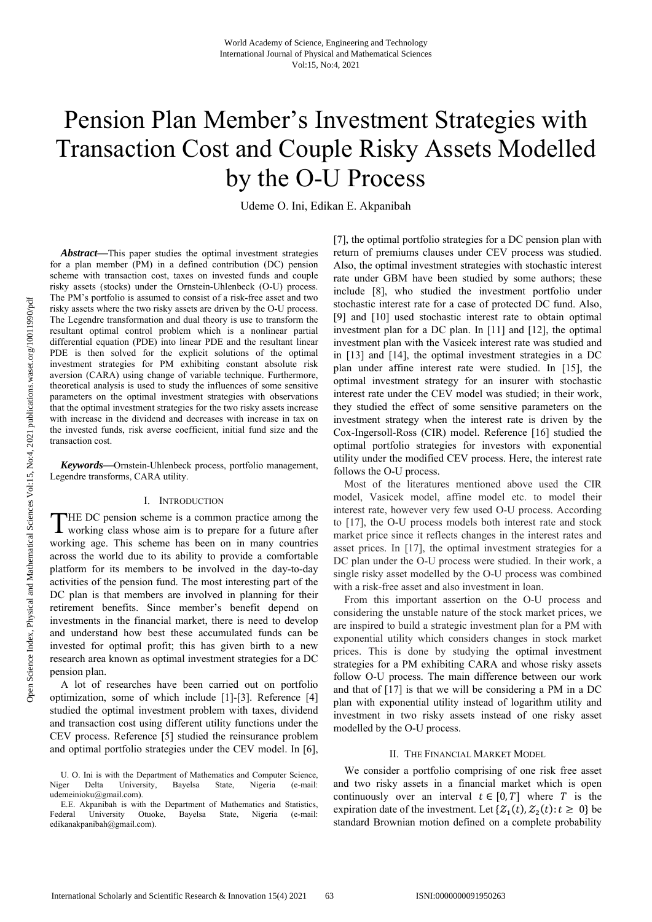# Pension Plan Member's Investment Strategies with Transaction Cost and Couple Risky Assets Modelled by the O-U Process

Udeme O. Ini, Edikan E. Akpanibah

*Abstract***—**This paper studies the optimal investment strategies for a plan member (PM) in a defined contribution (DC) pension scheme with transaction cost, taxes on invested funds and couple risky assets (stocks) under the Ornstein-Uhlenbeck (O-U) process. The PM's portfolio is assumed to consist of a risk-free asset and two risky assets where the two risky assets are driven by the O-U process. The Legendre transformation and dual theory is use to transform the resultant optimal control problem which is a nonlinear partial differential equation (PDE) into linear PDE and the resultant linear PDE is then solved for the explicit solutions of the optimal investment strategies for PM exhibiting constant absolute risk aversion (CARA) using change of variable technique. Furthermore, theoretical analysis is used to study the influences of some sensitive parameters on the optimal investment strategies with observations that the optimal investment strategies for the two risky assets increase with increase in the dividend and decreases with increase in tax on the invested funds, risk averse coefficient, initial fund size and the transaction cost.

*Keywords***—**Ornstein-Uhlenbeck process, portfolio management, Legendre transforms, CARA utility.

## I. INTRODUCTION

HE DC pension scheme is a common practice among the THE DC pension scheme is a common practice among the working class whose aim is to prepare for a future after working age. This scheme has been on in many countries across the world due to its ability to provide a comfortable platform for its members to be involved in the day-to-day activities of the pension fund. The most interesting part of the DC plan is that members are involved in planning for their retirement benefits. Since member's benefit depend on investments in the financial market, there is need to develop and understand how best these accumulated funds can be invested for optimal profit; this has given birth to a new research area known as optimal investment strategies for a DC pension plan.

A lot of researches have been carried out on portfolio optimization, some of which include [1]-[3]. Reference [4] studied the optimal investment problem with taxes, dividend and transaction cost using different utility functions under the CEV process. Reference [5] studied the reinsurance problem and optimal portfolio strategies under the CEV model. In [6], [7], the optimal portfolio strategies for a DC pension plan with return of premiums clauses under CEV process was studied. Also, the optimal investment strategies with stochastic interest rate under GBM have been studied by some authors; these include [8], who studied the investment portfolio under stochastic interest rate for a case of protected DC fund. Also, [9] and [10] used stochastic interest rate to obtain optimal investment plan for a DC plan. In [11] and [12], the optimal investment plan with the Vasicek interest rate was studied and in [13] and [14], the optimal investment strategies in a DC plan under affine interest rate were studied. In [15], the optimal investment strategy for an insurer with stochastic interest rate under the CEV model was studied; in their work, they studied the effect of some sensitive parameters on the investment strategy when the interest rate is driven by the Cox-Ingersoll-Ross (CIR) model. Reference [16] studied the optimal portfolio strategies for investors with exponential utility under the modified CEV process. Here, the interest rate follows the O-U process.

Most of the literatures mentioned above used the CIR model, Vasicek model, affine model etc. to model their interest rate, however very few used O-U process. According to [17], the O-U process models both interest rate and stock market price since it reflects changes in the interest rates and asset prices. In [17], the optimal investment strategies for a DC plan under the O-U process were studied. In their work, a single risky asset modelled by the O-U process was combined with a risk-free asset and also investment in loan.

From this important assertion on the O-U process and considering the unstable nature of the stock market prices, we are inspired to build a strategic investment plan for a PM with exponential utility which considers changes in stock market prices. This is done by studying the optimal investment strategies for a PM exhibiting CARA and whose risky assets follow O-U process. The main difference between our work and that of [17] is that we will be considering a PM in a DC plan with exponential utility instead of logarithm utility and investment in two risky assets instead of one risky asset modelled by the O-U process.

## II. THE FINANCIAL MARKET MODEL

We consider a portfolio comprising of one risk free asset and two risky assets in a financial market which is open continuously over an interval  $t \in [0, T]$  where T is the expiration date of the investment. Let  $\{Z_1(t), Z_2(t): t \geq 0\}$  be standard Brownian motion defined on a complete probability

U. O. Ini is with the Department of Mathematics and Computer Science, Niger Delta University, Bayelsa State, Nigeria (e-mail: udemeinioku@gmail.com).

E.E. Akpanibah is with the Department of Mathematics and Statistics, Federal University Otuoke, Bayelsa State, Nigeria (e-mail: edikanakpanibah@gmail.com).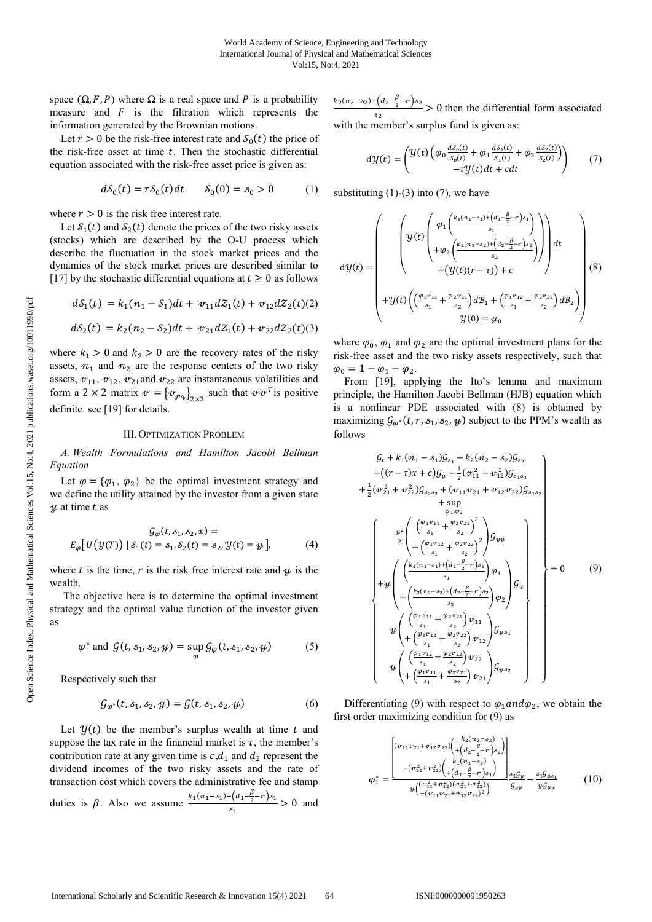space  $(\Omega, F, P)$  where  $\Omega$  is a real space and P is a probability measure and  $F$  is the filtration which represents the information generated by the Brownian motions.

Let  $r > 0$  be the risk-free interest rate and  $S_0(t)$  the price of the risk-free asset at time  $t$ . Then the stochastic differential equation associated with the risk-free asset price is given as:

$$
dS_0(t) = rS_0(t)dt \t S_0(0) = s_0 > 0 \t (1)
$$

where  $r > 0$  is the risk free interest rate.

Let  $S_1(t)$  and  $S_2(t)$  denote the prices of the two risky assets (stocks) which are described by the O-U process which describe the fluctuation in the stock market prices and the dynamics of the stock market prices are described similar to [17] by the stochastic differential equations at  $t \geq 0$  as follows

$$
dS_1(t) = k_1(n_1 - S_1)dt + v_{11}dZ_1(t) + v_{12}dZ_2(t)(2)
$$
  

$$
dS_2(t) = k_2(n_2 - S_2)dt + v_{21}dZ_1(t) + v_{22}dZ_2(t)(3)
$$

where  $k_1 > 0$  and  $k_2 > 0$  are the recovery rates of the risky assets,  $n_1$  and  $n_2$  are the response centers of the two risky assets,  $v_{11}$ ,  $v_{12}$ ,  $v_{21}$  and  $v_{22}$  are instantaneous volatilities and form a 2 × 2 matrix  $\mathbf{v} = \{v_{pq}\}_{2\times 2}$  such that  $v v^T$  is positive definite. see [19] for details.

#### III. OPTIMIZATION PROBLEM

*A. Wealth Formulations and Hamilton Jacobi Bellman Equation* 

Let  $\varphi = {\varphi_1, \varphi_2}$  be the optimal investment strategy and we define the utility attained by the investor from a given state  $\psi$  at time t as

$$
\mathcal{G}_{\varphi}(t, s_1, s_2, x) =
$$
  
\n
$$
E_{\varphi}[U(\mathcal{Y}(T)) | S_1(t) = s_1, S_2(t) = s_2, \mathcal{Y}(t) = \psi],
$$
 (4)

where t is the time,  $r$  is the risk free interest rate and  $\psi$  is the wealth.

 The objective here is to determine the optimal investment strategy and the optimal value function of the investor given as

$$
\varphi^* \text{ and } \mathcal{G}(t, s_1, s_2, \mathcal{Y}) = \sup_{\varphi} \mathcal{G}_{\varphi}(t, s_1, s_2, \mathcal{Y}) \tag{5}
$$

Respectively such that

$$
\mathcal{G}_{\varphi^*}(t, s_1, s_2, \psi) = \mathcal{G}(t, s_1, s_2, \psi) \tag{6}
$$

Let  $\mathcal{Y}(t)$  be the member's surplus wealth at time t and suppose the tax rate in the financial market is  $\tau$ , the member's contribution rate at any given time is  $c, d_1$  and  $d_2$  represent the dividend incomes of the two risky assets and the rate of transaction cost which covers the administrative fee and stamp duties is  $\beta$ . Also we assume  $\frac{k_1(n_1-s_1)+(d_1-\frac{\beta}{2}-r)s_1}{k_1-s_1}$  $\frac{(\alpha_1 \ \ 2 \ \cdot \ )^2}{s_1} > 0$  and

 $k_2(n_2-s_2)+\left(d_2-\frac{\beta}{2}-r\right)s_2$  $\frac{\log_2 2 + \log_2 2}{\log_2 2} > 0$  then the differential form associated with the member's surplus fund is given as:

$$
d\mathcal{Y}(t) = \begin{pmatrix} \mathcal{Y}(t) \left( \varphi_0 \frac{d\mathcal{S}_0(t)}{\mathcal{S}_0(t)} + \varphi_1 \frac{d\mathcal{S}_1(t)}{\mathcal{S}_1(t)} + \varphi_2 \frac{d\mathcal{S}_2(t)}{\mathcal{S}_2(t)} \right) \\ -\tau \mathcal{Y}(t) dt + c dt \end{pmatrix} \tag{7}
$$

substituting  $(1)-(3)$  into  $(7)$ , we have

$$
d\mathcal{Y}(t) = \begin{pmatrix} \mathcal{Y}(t) \begin{pmatrix} \varphi_1 \left( \frac{k_1(n_1-s_1) + (d_1 - \frac{\beta}{2} - r)s_1}{s_1} \right) \\ + \varphi_2 \left( \frac{k_2(n_2-s_2) + (d_2 - \frac{\beta}{2} - r)s_2}{s_2} \right) \end{pmatrix} dt \\ + \mathcal{Y}(t) \left( \left( \frac{\varphi_1 v_{11}}{s_1} + \frac{\varphi_2 v_{21}}{s_2} \right) d\mathcal{B}_1 + \left( \frac{\varphi_1 v_{12}}{s_1} + \frac{\varphi_2 v_{22}}{s_2} \right) d\mathcal{B}_2 \right) \\ \mathcal{Y}(0) = \mathcal{Y}_0 \end{pmatrix} (8)
$$

where  $\varphi_0$ ,  $\varphi_1$  and  $\varphi_2$  are the optimal investment plans for the risk-free asset and the two risky assets respectively, such that  $\varphi_0 = 1 - \varphi_1 - \varphi_2.$ 

From [19], applying the Ito's lemma and maximum principle, the Hamilton Jacobi Bellman (HJB) equation which is a nonlinear PDE associated with (8) is obtained by maximizing  $\mathcal{G}_{\varphi^*}(t, r, s_1, s_2, \psi)$  subject to the PPM's wealth as follows

$$
G_{t} + k_{1}(n_{1} - s_{1})G_{s_{1}} + k_{2}(n_{2} - s_{2})G_{s_{2}}
$$
  
+ 
$$
((r - \tau)x + c)G_{y} + \frac{1}{2}(v_{11}^{2} + v_{12}^{2})G_{s_{1}s_{1}}
$$
  
+ 
$$
\frac{1}{2}(v_{21}^{2} + v_{22}^{2})G_{s_{2}s_{2}} + (v_{11}v_{21} + v_{12}v_{22})G_{s_{1}s_{2}}
$$
  
+ 
$$
\sup_{\varphi_{1},\varphi_{2}} \sup_{\varphi_{1},\varphi_{2}} \left( \frac{\left(\frac{\varphi_{1}v_{11}}{s_{1}} + \frac{\varphi_{2}v_{21}}{s_{2}}\right)^{2}}{2}\right)G_{y_{y}} + \left(\frac{\left(\frac{k_{1}(n_{1}-s_{1})+(a_{1}-\frac{\varphi_{2}}{s_{2}})}{s_{1}}\right)\varphi_{1}}{s_{1}}\right)G_{y_{y}} + \psi\left(\frac{\left(\frac{k_{2}(n_{2}-s_{2})+(a_{2}-\frac{\varphi_{2}}{s_{2}})}{s_{2}}\right)\varphi_{2}}{s_{2}}\right)G_{y_{y}}\right)G_{y_{y}}
$$
  
+ 
$$
\psi\left(\frac{\left(\frac{\varphi_{1}v_{11}}{s_{1}} + \frac{\varphi_{2}v_{21}}{s_{2}}\right)v_{11}}{s_{2}}\right)G_{y_{z}}
$$
  
+ 
$$
\psi\left(\frac{\left(\frac{\varphi_{1}v_{11}}{s_{1}} + \frac{\varphi_{2}v_{22}}{s_{2}}\right)v_{12}}{s_{2}}\right)G_{y_{z}}
$$
  
+ 
$$
\psi\left(\frac{\left(\frac{\varphi_{1}v_{11}}{s_{1}} + \frac{\varphi_{2}v_{22}}{s_{2}}\right)v_{22}}{s_{1}}\right)G_{y_{z}}
$$

Differentiating (9) with respect to  $\varphi_1$  and  $\varphi_2$ , we obtain the first order maximizing condition for (9) as

$$
\varphi_{1}^{*} = \frac{\begin{bmatrix} (v_{11}v_{21} + v_{12}v_{22}) \left( \frac{k_{2}(n_{2} - s_{2})}{\sqrt{2}} \\ + \left( \frac{\rho_{2}}{2} - \frac{\rho_{2}}{2} \right) \right) \\ -(v_{21}^{2} + v_{22}^{2}) \left( \frac{k_{1}(n_{1} - s_{1})}{\sqrt{2}} \right) \\ + \left( \frac{\rho_{1}^{2} + \rho_{22}^{2}}{2} \right) \left( \frac{k_{2}(n_{2} - s_{2})}{\sqrt{2}} \right) \\ \frac{k_{1}(n_{1} - s_{1})}{\sqrt{2}} \frac{s_{1}g_{\psi}}{g_{\psi}} - \frac{s_{1}g_{\psi s_{1}}}{\sqrt{2}} \end{bmatrix}}{\frac{s_{1}g_{\psi}}{g_{\psi}} - \frac{s_{1}g_{\psi s_{1}}}{\sqrt{2}} \qquad (10)
$$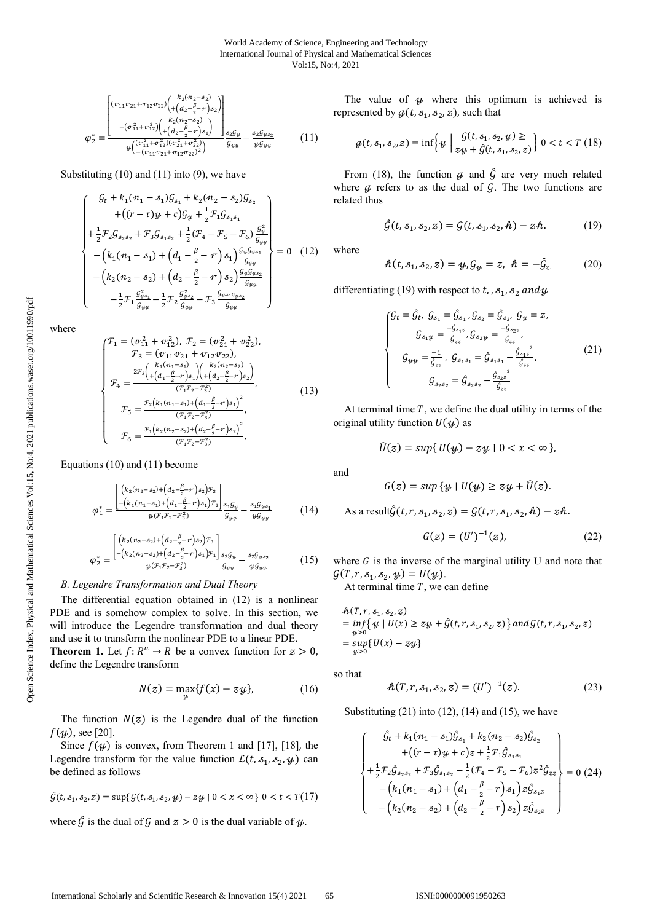$$
\varphi_{2}^{*} = \frac{\begin{bmatrix} (v_{11}v_{21} + v_{12}v_{22}) \left( \frac{k_{2}(n_{2} - s_{2})}{+ (a_{2} - \frac{\beta}{2} - r)s_{2})} \right) \\ - (v_{11}^{2} + v_{12}^{2}) \left( \frac{k_{2}(n_{2} - s_{2})}{+ (a_{2} - \frac{\beta}{2} - r)s_{1})} \right) \\ \frac{k_{2}(n_{2} - s_{2})}{+ (a_{2} - \frac{\beta}{2} - r)s_{1}} \frac{k_{2}g_{\psi}}{+ (a_{2} - \frac{\beta}{2} - r)s_{2}} \frac{k_{2}g_{\psi}}{+ (a_{2} - \frac{\beta}{2} - r)s_{2}} \end{bmatrix}} \frac{s_{2}g_{\psi}}{g_{\psi\psi}} - \frac{s_{2}g_{\psi s_{2}}}{\psi g_{\psi\psi}}
$$
(11)

Substituting (10) and (11) into (9), we have

$$
\begin{cases}\n\mathcal{G}_{t} + k_{1}(n_{1} - s_{1})\mathcal{G}_{s_{1}} + k_{2}(n_{2} - s_{2})\mathcal{G}_{s_{2}} \\
+((r - \tau)\mathcal{Y} + c)\mathcal{G}_{\mathcal{Y}} + \frac{1}{2}\mathcal{F}_{1}\mathcal{G}_{s_{1}s_{1}} \\
+\frac{1}{2}\mathcal{F}_{2}\mathcal{G}_{s_{2}s_{2}} + \mathcal{F}_{3}\mathcal{G}_{s_{1}s_{2}} + \frac{1}{2}(\mathcal{F}_{4} - \mathcal{F}_{5} - \mathcal{F}_{6})\frac{\mathcal{G}_{\mathcal{Y}}^{2}}{\mathcal{G}_{\mathcal{Y}}}\n- (k_{1}(n_{1} - s_{1}) + (d_{1} - \frac{\beta}{2} - r) s_{1})\frac{\mathcal{G}_{\mathcal{Y}}\mathcal{G}_{\mathcal{Y}s_{1}}}{\mathcal{G}_{\mathcal{Y}\mathcal{Y}}}\n- (k_{2}(n_{2} - s_{2}) + (d_{2} - \frac{\beta}{2} - r) s_{2})\frac{\mathcal{G}_{\mathcal{Y}}\mathcal{G}_{\mathcal{Y}s_{2}}}{\mathcal{G}_{\mathcal{Y}\mathcal{Y}}}\n- \frac{1}{2}\mathcal{F}_{1}\frac{\mathcal{G}_{\mathcal{Y}s_{1}}^{2}}{\mathcal{G}_{\mathcal{Y}\mathcal{Y}}} - \mathcal{F}_{3}\frac{\mathcal{G}_{\mathcal{Y}s_{2}}\mathcal{G}_{\mathcal{Y}\mathcal{Y}}}{\mathcal{G}_{\mathcal{Y}\mathcal{Y}}}\n\end{cases}
$$
\n(12)

where

Open Science Index, Physical and Mathematical Sciences Vol:15, No:4, 2021 publications.waset.org/10011990/pdf Open Science Index, Physical and Mathematical Sciences Vol:15, No:4, 2021 publications.waset.org/10011990/pdf

$$
\mathcal{F}_1 = (\sigma_{11}^2 + \sigma_{12}^2), \mathcal{F}_2 = (\sigma_{21}^2 + \sigma_{22}^2), \n\mathcal{F}_3 = (\sigma_{11}\sigma_{21} + \sigma_{12}\sigma_{22}), \n\mathcal{F}_4 = \frac{2\mathcal{F}_3\left(\kappa_1(n_1 - s_1) - \kappa_2(n_2 - s_2)\right)}{(\mathcal{F}_1\mathcal{F}_2 - \mathcal{F}_3^2)}, \n\mathcal{F}_5 = \frac{\mathcal{F}_2\left(\kappa_1(n_1 - s_1) + \left(d_1 - \frac{\beta}{2} - r\right)s_1\right)^2}{(\mathcal{F}_1\mathcal{F}_2 - \mathcal{F}_3^2)}, \n\mathcal{F}_6 = \frac{\mathcal{F}_1\left(\kappa_2(n_2 - s_2) + \left(d_2 - \frac{\beta}{2} - r\right)s_2\right)^2}{(\mathcal{F}_1\mathcal{F}_2 - \mathcal{F}_3^2)},
$$
\n(13)

Equations (10) and (11) become

$$
\varphi_1^* = \frac{\left[ \left( k_2 (n_2 - s_2) + \left( a_2 - \frac{\beta}{2} - r \right) s_2 \right) \mathcal{F}_3 \right]}{\left[ - \left( k_1 (n_1 - s_1) + \left( d_1 - \frac{\beta}{2} - r \right) s_1 \right) \mathcal{F}_2 \right] s_1 \mathcal{G}_y}{\mathcal{G}_{yy}} - \frac{s_1 \mathcal{G}_{ys_1}}{y \mathcal{G}_{yy}} \tag{14}
$$

$$
\varphi_2^* = \frac{\left[ \left( k_2 (n_2 - s_2) + \left( d_2 - \frac{\beta}{2} - r \right) s_2 \right) \mathcal{F}_3 \right]}{\mu (r_1 r_2 - r_3^2)} \mathcal{F}_4 \left[ \frac{s_2 g_y}{g_y} - \frac{s_2 g_{y s_2}}{g_y} \right] \tag{15}
$$

## *B. Legendre Transformation and Dual Theory*

The differential equation obtained in (12) is a nonlinear PDE and is somehow complex to solve. In this section, we will introduce the Legendre transformation and dual theory and use it to transform the nonlinear PDE to a linear PDE.

**Theorem 1.** Let  $f: R^n \to R$  be a convex function for  $z > 0$ , define the Legendre transform

$$
N(z) = \max_{\mathcal{Y}} \{ f(x) - z\mathcal{Y} \},\tag{16}
$$

The function  $N(z)$  is the Legendre dual of the function  $f(\psi)$ , see [20].

Since  $f(y)$  is convex, from Theorem 1 and [17], [18], the Legendre transform for the value function  $\mathcal{L}(t, s_1, s_2, \mathcal{Y})$  can be defined as follows

$$
\hat{G}(t, s_1, s_2, z) = \sup\{G(t, s_1, s_2, y) - zy \mid 0 < x < \infty\} \ 0 < t < T(17)
$$

where  $\hat{G}$  is the dual of G and  $z > 0$  is the dual variable of  $\psi$ .

The value of  $\psi$  where this optimum is achieved is represented by  $g(t, s_1, s_2, z)$ , such that

$$
\mathcal{g}(t, s_1, s_2, z) = \inf \left\{ y \mid \frac{\mathcal{G}(t, s_1, s_2, y)}{zy + \hat{\mathcal{G}}(t, s_1, s_2, z)} \right\} 0 < t < T \tag{18}
$$

From (18), the function  $q$  and  $\hat{G}$  are very much related where  $q$  refers to as the dual of  $q$ . The two functions are related thus

$$
\hat{G}(t, s_1, s_2, z) = G(t, s_1, s_2, h) - zh.
$$
 (19)

where

$$
h(t, s_1, s_2, z) = y, \mathcal{G}_y = z, \ \hbar = -\hat{\mathcal{G}}_z. \tag{20}
$$

differentiating (19) with respect to t, ,  $s_1$ ,  $s_2$  and  $y$ 

$$
\begin{cases}\nG_t = \hat{g}_t, \ G_{s_1} = \hat{g}_{s_1}, \ G_{s_2} = \hat{g}_{s_2}, \ G_y = z, \\
G_{s_1y} = \frac{-\hat{g}_{s_1z}}{\hat{g}_{zz}}, \ G_{s_2y} = \frac{-\hat{g}_{s_2z}}{\hat{g}_{zz}}, \\
G_{yy} = \frac{-1}{\hat{g}_{zz}}, \ G_{s_1s_1} = \hat{g}_{s_1s_1} - \frac{\hat{g}_{s_1z}}{\hat{g}_{zz}}, \\
G_{s_2s_2} = \hat{g}_{s_2s_2} - \frac{\hat{g}_{s_2z}}{\hat{g}_{zz}}\n\end{cases}
$$
\n(21)

At terminal time  $T$ , we define the dual utility in terms of the original utility function  $U(\mathcal{Y})$  as

$$
\widehat{U}(z) = \sup\{U(y) - zy \mid 0 < x < \infty\},
$$

and

$$
G(z) = \sup \{ y \mid U(y) \ge zy + \widehat{U}(z).
$$

As a result
$$
\hat{G}(t, r, s_1, s_2, z) = G(t, r, s_1, s_2, h) - zh
$$
.

$$
G(z) = (U')^{-1}(z),
$$
 (22)

where  $G$  is the inverse of the marginal utility U and note that  $G(T, r, s_1, s_2, y) = U(y).$ 

At terminal time  $T$ , we can define

$$
\begin{aligned} &\mathcal{H}(T, r, s_1, s_2, z) \\ &= \inf \{ \psi \mid U(x) \ge z\psi + \hat{\mathcal{G}}(t, r, s_1, s_2, z) \} \text{ and } \mathcal{G}(t, r, s_1, s_2, z) \\ &= \sup_{\psi > 0} \{ U(x) - z\psi \} \end{aligned}
$$

so that

$$
h(T, r, s_1, s_2, z) = (U')^{-1}(z). \tag{23}
$$

Substituting  $(21)$  into  $(12)$ ,  $(14)$  and  $(15)$ , we have

$$
\begin{cases}\n\hat{g}_t + k_1(n_1 - s_1)\hat{g}_{s_1} + k_2(n_2 - s_2)\hat{g}_{s_2} \\
+ ((r - \tau)y + c)z + \frac{1}{2}\mathcal{F}_1\hat{g}_{s_1 s_1} \\
+\frac{1}{2}\mathcal{F}_2\hat{g}_{s_2 s_2} + \mathcal{F}_3\hat{g}_{s_1 s_2} - \frac{1}{2}(\mathcal{F}_4 - \mathcal{F}_5 - \mathcal{F}_6)z^2\hat{g}_{zz} \\
- (k_1(n_1 - s_1) + (d_1 - \frac{\beta}{2} - r)s_1)z\hat{g}_{s_1 z} \\
- (k_2(n_2 - s_2) + (d_2 - \frac{\beta}{2} - r)s_2)z\hat{g}_{s_2 z}\n\end{cases} = 0 (24)
$$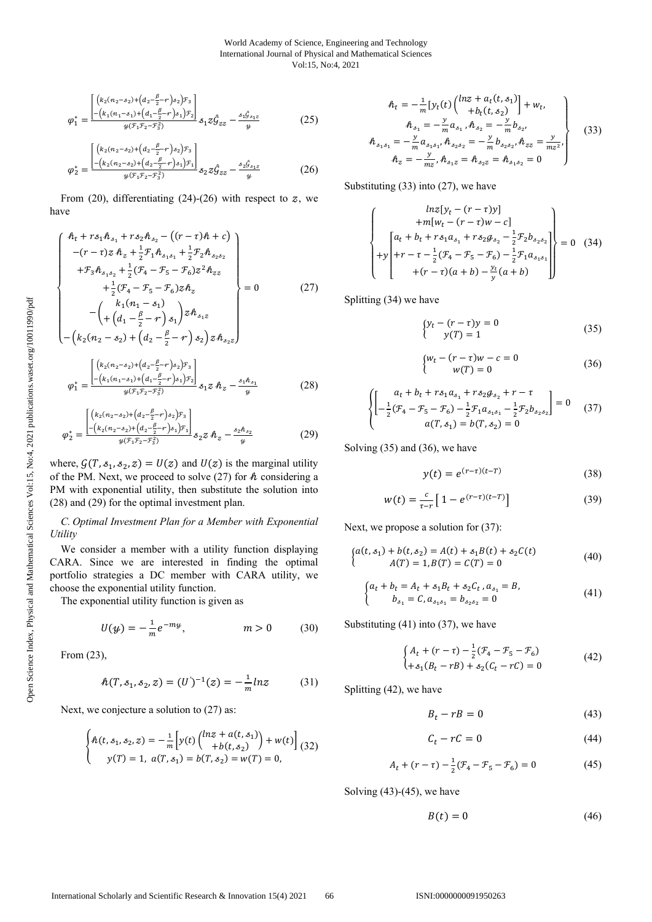$$
\varphi_1^* = \frac{\begin{bmatrix} \left(k_2(n_2 - s_2) + \left(d_2 - \frac{\beta}{2} - r\right)s_2\right)_{s_2} \\ -\left(k_1(n_1 - s_1) + \left(d_1 - \frac{\beta}{2} - r\right)s_1\right)_{s_2} \end{bmatrix}}{\psi(\mathcal{F}_1 \mathcal{F}_2 - \mathcal{F}_3^2)}_{s_1 z \hat{\mathcal{G}}_{zz}} - \frac{s_1 \hat{\mathcal{G}}_{s_1 z}}{\psi} \tag{25}
$$

$$
\varphi_2^* = \frac{\begin{bmatrix} \left(k_2(n_2 - s_2) + \left(d_2 - \frac{\beta}{2} - r\right)s_2\right)_{s_2} \\ - \left(k_2(n_2 - s_2) + \left(d_2 - \frac{\beta}{2} - r\right)s_1\right)_{s_1} \\ \frac{\beta}{2} & \frac{\beta}{2} \end{bmatrix}_{s_2 z} \hat{g}_{zz} - \frac{s_2 \hat{g}_{s_1 z}}{y} \tag{26}
$$

From (20), differentiating (24)-(26) with respect to  $z$ , we have

$$
\begin{cases}\nh_{t} + rs_{1}h_{s_{1}} + rs_{2}h_{s_{2}} - ((r - \tau)h + c) \\
-(r - \tau)z h_{z} + \frac{1}{2}r_{1}h_{s_{1}s_{1}} + \frac{1}{2}r_{2}h_{s_{2}s_{2}} \\
+ F_{3}h_{s_{1}s_{2}} + \frac{1}{2}(F_{4} - F_{5} - F_{6})z^{2}h_{zz} \\
+ \frac{1}{2}(F_{4} - F_{5} - F_{6})zh_{z} \\
- \left(k_{1}(n_{1} - s_{1})\right) - \left(k_{1}(n_{1} - s_{1})s_{1}\right)zh_{s_{1}z} \\
- \left(k_{2}(n_{2} - s_{2}) + \left(d_{2} - \frac{\beta}{2} - r\right)s_{2}\right)zh_{s_{2}z}\n\end{cases} = 0
$$
\n(27)

$$
\varphi_1^* = \frac{\left[ \left( k_2 (n_2 - s_2) + \left( d_2 - \frac{\beta}{2} - r \right) s_2 \right) r_3 \right]}{\left[ - \left( k_1 (n_1 - s_1) + \left( d_1 - \frac{\beta}{2} - r \right) s_1 \right) r_2 \right]} s_1 z \cdot h_z - \frac{s_1 h_{s_1}}{y} \tag{28}
$$

$$
\varphi_2^* = \frac{\left[ \left( k_2 (n_2 - s_2) + \left( d_2 - \frac{\beta}{2} - r \right) s_2 \right) \mathcal{F}_3 \right]}{\left[ - \left( k_2 (n_2 - s_2) + \left( d_2 - \frac{\beta}{2} - r \right) s_1 \right) \mathcal{F}_1 \right]} \mathcal{S}_2 z \mathcal{A}_z - \frac{s_2 \mathcal{A}_{s_2}}{y} \tag{29}
$$

where,  $G(T, \mathcal{S}_1, \mathcal{S}_2, z) = U(z)$  and  $U(z)$  is the marginal utility of the PM. Next, we proceed to solve (27) for  $h$  considering a PM with exponential utility, then substitute the solution into (28) and (29) for the optimal investment plan.

*C. Optimal Investment Plan for a Member with Exponential Utility* 

We consider a member with a utility function displaying CARA. Since we are interested in finding the optimal portfolio strategies a DC member with CARA utility, we choose the exponential utility function.

The exponential utility function is given as

$$
U(y) = -\frac{1}{m}e^{-my}, \qquad m > 0 \qquad (30)
$$

From (23),

$$
h(T, s_1, s_2, z) = (U')^{-1}(z) = -\frac{1}{m}ln z
$$
 (31)

Next, we conjecture a solution to  $(27)$  as:

$$
\begin{cases}\n\hat{n}(t, s_1, s_2, z) = -\frac{1}{m} \left[ y(t) \binom{\ln z + a(t, s_1)}{b(t, s_2)} + w(t) \right] (32) \\
y(T) = 1, \ a(T, s_1) = b(T, s_2) = w(T) = 0,\n\end{cases}
$$

$$
\hat{n}_t = -\frac{1}{m} \left[ y_t(t) \begin{pmatrix} lnz + a_t(t, s_1) \\ + b_t(t, s_2) \end{pmatrix} + w_t, \n\hat{n}_{s_1} = -\frac{y}{m} a_{s_1}, \hat{n}_{s_2} = -\frac{y}{m} b_{s_2}, \n\hat{n}_{s_1 s_1} = -\frac{y}{m} a_{s_1 s_1}, \hat{n}_{s_2 s_2} = -\frac{y}{m} b_{s_2 s_2}, \hat{n}_{z_2} = \frac{y}{m z^2}, \n\hat{n}_z = -\frac{y}{m z}, \hat{n}_{s_1 z} = \hat{n}_{s_2 z} = \hat{n}_{s_1 s_2} = 0
$$
\n(33)

Substituting (33) into (27), we have

$$
\begin{cases}\n\ln z[y_t - (r - \tau)y] \\
+m[w_t - (r - \tau)w - c] \\
+y\n\end{cases}\n+ y\n\begin{cases}\na_t + b_t + r s_1 a_{s_1} + r s_2 a_{s_2} - \frac{1}{2} \mathcal{F}_2 b_{s_2 s_2} \\
+r - \tau - \frac{1}{2} (\mathcal{F}_4 - \mathcal{F}_5 - \mathcal{F}_6) - \frac{1}{2} \mathcal{F}_1 a_{s_1 s_1} \\
+(r - \tau)(a + b) - \frac{y_t}{y} (a + b)\n\end{cases}\n= 0 \quad (34)
$$

Splitting (34) we have

$$
\begin{cases}\n y_t - (r - \tau)y = 0 \\
 y(T) = 1\n\end{cases}
$$
\n(35)

$$
\begin{cases} w_t - (r - \tau)w - c = 0 \\ w(T) = 0 \end{cases}
$$
 (36)

$$
\begin{cases}\n a_t + b_t + r s_1 a_{s_1} + r s_2 a_{s_2} + r - \tau \\
 -\frac{1}{2} (F_4 - F_5 - F_6) - \frac{1}{2} F_1 a_{s_1 s_1} - \frac{1}{2} F_2 b_{s_2 s_2}\n \end{cases} = 0
$$
\n(37)\n  
\n
$$
a(T, s_1) = b(T, s_2) = 0
$$

Solving (35) and (36), we have

$$
y(t) = e^{(r-\tau)(t-T)}
$$
\n(38)

$$
w(t) = \frac{c}{\tau - r} \left[ 1 - e^{(r - \tau)(t - T)} \right]
$$
 (39)

Next, we propose a solution for (37):

$$
\begin{cases}\na(t, s_1) + b(t, s_2) = A(t) + s_1 B(t) + s_2 C(t) \\
A(T) = 1, B(T) = C(T) = 0\n\end{cases}
$$
\n(40)

$$
\begin{cases} a_t + b_t = A_t + s_1 B_t + s_2 C_t, a_{s_1} = B, \\ b_{s_1} = C, a_{s_1 s_1} = b_{s_2 s_2} = 0 \end{cases}
$$
(41)

Substituting (41) into (37), we have

$$
\begin{cases} A_t + (r - \tau) - \frac{1}{2} (F_4 - F_5 - F_6) \\ + s_1 (B_t - rB) + s_2 (C_t - rC) = 0 \end{cases}
$$
(42)

Splitting (42), we have

$$
B_t - rB = 0 \tag{43}
$$

$$
C_t - rC = 0 \tag{44}
$$

$$
A_t + (r - \tau) - \frac{1}{2}(\mathcal{F}_4 - \mathcal{F}_5 - \mathcal{F}_6) = 0 \tag{45}
$$

Solving  $(43)-(45)$ , we have

$$
B(t) = 0 \tag{46}
$$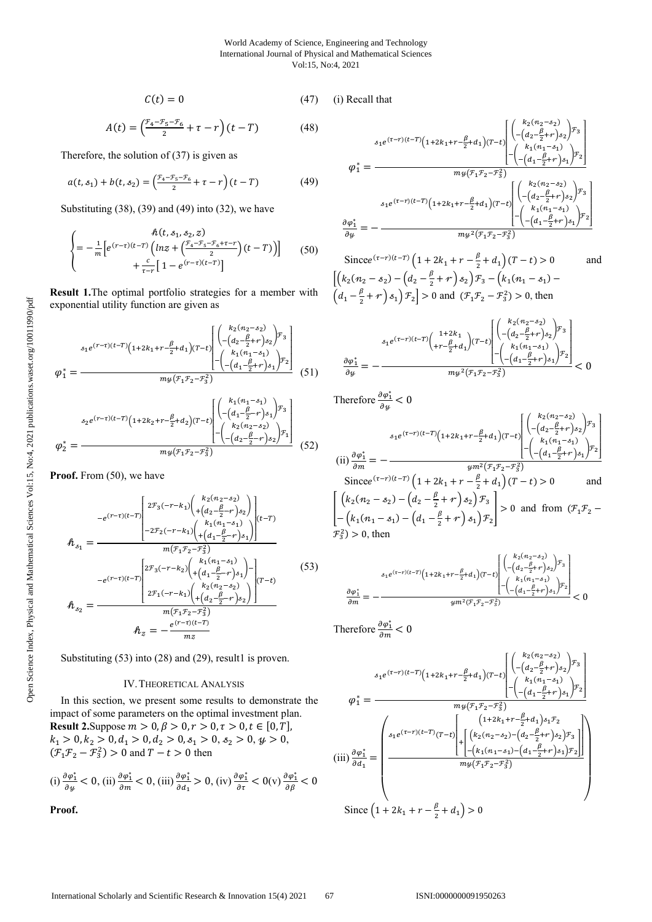$$
C(t) = 0 \tag{47} \tag{i) R}
$$

$$
A(t) = \left(\frac{r_4 - r_5 - r_6}{2} + \tau - r\right)(t - T) \tag{48}
$$

Therefore, the solution of (37) is given as

$$
a(t,s_1) + b(t,s_2) = \left(\frac{\mathcal{F}_4 - \mathcal{F}_5 - \mathcal{F}_6}{2} + \tau - r\right)(t - T) \tag{49}
$$

Substituting (38), (39) and (49) into (32), we have

$$
\begin{cases}\n&\hbar(t, s_1, s_2, z) \\
= -\frac{1}{m} \Big[ e^{(r-\tau)(t-T)} \Big( \ln z + \Big( \frac{r_4 - r_5 - r_6 + \tau - r}{2} \Big) (t - T) \Big) \Big] \\
&+ \frac{c}{\tau - r} \Big[ 1 - e^{(r-\tau)(t-T)} \Big]\n\end{cases} \tag{50}
$$

**Result 1.**The optimal portfolio strategies for a member with exponential utility function are given as

$$
\varphi_{1}^{*} = \frac{z_{1}e^{(r-\tau)(t-T)}(1+2k_{1}+r-\frac{\beta}{2}+d_{1})(T-t)\begin{bmatrix}k_{2}(n_{2}-s_{2})\\-(d_{2}-\frac{\beta}{2}+r)s_{2}\end{bmatrix}r_{3}}{m_{2}(\mathcal{F}_{1}\mathcal{F}_{2}-\mathcal{F}_{3}^{2})}\n\varphi_{1}^{*} = \frac{z_{2}e^{(r-\tau)(t-T)}(1+2k_{2}+r-\frac{\beta}{2}+d_{2})(T-t)\begin{bmatrix}k_{1}(n_{1}-s_{1})\\-(d_{1}-\frac{\beta}{2}+r)s_{1}\end{bmatrix}r_{3}}{m_{2}(\mathcal{F}_{1}\mathcal{F}_{2}-\mathcal{F}_{3}^{2})}\n\varphi_{2}^{*} = \frac{z_{3}e^{(r-\tau)(t-T)}(1+2k_{2}+r-\frac{\beta}{2}+d_{2})(T-t)\begin{bmatrix}k_{1}(n_{1}-s_{1})\\-(d_{1}-\frac{\beta}{2}-r)s_{1}\end{bmatrix}r_{1}}{m_{2}(\mathcal{F}_{1}\mathcal{F}_{2}-\mathcal{F}_{3}^{2})}\n\tag{52}
$$

Proof. From  $(50)$ , we have

$$
h_{s_1} = \frac{-e^{(r-\tau)(t-T)}}{\left| \begin{array}{l} 2\mathcal{F}_3(-r-k_1) \left( \begin{array}{l} k_2(n_2-s_2) \\ +\left( d_2 - \frac{\beta}{2} - r \right) s_2 \end{array} \right) \right|_{(t-T)}} - 2\mathcal{F}_2(-r-k_1) \left( \begin{array}{l} k_1(n_1-s_1) \\ +\left( d_1 - \frac{\beta}{2} - r \right) s_1 \end{array} \right)}{\left( \begin{array}{l} n_1(n_1-s_1) \\ +\left( d_1 - \frac{\beta}{2} - r \right) s_1 \end{array} \right)} \right|_{(t-T)}
$$
\n
$$
-e^{(r-\tau)(t-T)} \left| \begin{array}{l} 2\mathcal{F}_3(-r-k_2) \left( \begin{array}{l} k_1(n_1-s_1) \\ +\left( d_1 - \frac{\beta}{2} - r \right) s_1 \end{array} \right) - \begin{array}{l} n_1(n_1-s_1) \\ +\left( d_2 - \frac{\beta}{2} - r \right) s_2 \end{array} \right)}{\left( \begin{array}{l} n_1(n_1-s_1) \\ +\left( d_2 - \frac{\beta}{2} - r \right) s_2 \end{array} \right)} \right|_{(t-T)}
$$
\n
$$
h_{s_2} = \frac{e^{(r-\tau)(t-T)}}{m z}
$$
\n(53)

Substituting (53) into (28) and (29), result1 is proven.

#### IV.THEORETICAL ANALYSIS

In this section, we present some results to demonstrate the impact of some parameters on the optimal investment plan. **Result 2.** Suppose  $m > 0, \beta > 0, r > 0, \tau > 0, t \in [0, T]$ ,  $k_1 > 0, k_2 > 0, d_1 > 0, d_2 > 0, s_1 > 0, s_2 > 0, \psi > 0,$  $(\mathcal{F}_1 \mathcal{F}_2 - \mathcal{F}_3^2) > 0$  and  $T - t > 0$  then

(i) 
$$
\frac{\partial \varphi_1^*}{\partial y} < 0
$$
, (ii)  $\frac{\partial \varphi_1^*}{\partial m} < 0$ , (iii)  $\frac{\partial \varphi_1^*}{\partial d_1} > 0$ , (iv)  $\frac{\partial \varphi_1^*}{\partial \tau} < 0$ (v)  $\frac{\partial \varphi_1^*}{\partial \beta} < 0$ 

**Proof.** 

Recall that

$$
\varphi_1^* = \frac{A_1 e^{(\tau - r)(t - T)} (1 + 2k_1 + r - \frac{\beta}{2} + d_1)(T - t)} \begin{bmatrix} \binom{k_2(n_2 - s_2)}{-\left(d_2 - \frac{\beta}{2} + r\right)s_2} \end{bmatrix} \mathcal{F}_3}{m y \left(\mathcal{F}_1 \mathcal{F}_2 - \mathcal{F}_3^2\right)}
$$
\n
$$
\varphi_1^* = \frac{m y \left(\mathcal{F}_1 \mathcal{F}_2 - \mathcal{F}_3^2\right)}{\left(\frac{k_1(n_1 - s_1)}{-\left(d_1 - \frac{\beta}{2} + r\right)s_1}\right)\mathcal{F}_2}
$$
\n
$$
A_1 e^{(\tau - r)(t - T)} \left(1 + 2k_1 + r - \frac{\beta}{2} + d_1\right)(T - t) \begin{bmatrix} \binom{k_2(n_2 - s_2)}{-\left(d_2 - \frac{\beta}{2} + r\right)s_2} \end{bmatrix} \mathcal{F}_3}{\left(\frac{k_1(n_1 - s_1)}{-\left(d_1 - \frac{\beta}{2} + r\right)s_1}\right)\mathcal{F}_2}
$$
\n
$$
\frac{\partial \varphi_1^*}{\partial y} = -\frac{m y^2 (\mathcal{F}_1 \mathcal{F}_2 - \mathcal{F}_3^2)}
$$

Since  $e^{(\tau - r)(t - T)} \left(1 + 2k_1 + r - \frac{\beta}{2} + d_1\right) (T - t) > 0$  and  $\left[ \left( k_2(n_2-s_2) - \left( d_2 - \frac{\beta}{2} + r \right) s_2 \right) \mathcal{F}_3 - \left( k_1(n_1-s_1) - \right. \right]$  $\left(d_1 - \frac{\beta}{2} + r\right) s_1\right) \mathcal{F}_2$  > 0 and  $\left(\mathcal{F}_1 \mathcal{F}_2 - \mathcal{F}_3^2\right) > 0$ , then

$$
\frac{\delta_1 e^{(\tau-r)(t-T)}\Big(\frac{1+2k_1}{r-\frac{\beta}{2}+d_1}\Big)(T-t)}{\delta y} \Bigg| \frac{\Bigg(\begin{matrix} k_2(n_2-\delta_2) \\ -\Big(d_2-\frac{\beta}{2}+r\Big)\delta_2\Bigg)\mathcal{F}_3 \\ -\Big(d_1-\frac{\beta}{2}+r\Big)\delta_1\Bigg)\mathcal{F}_2 \\ -\Big(d_1-\frac{\beta}{2}+r\Big)\delta_1\Bigg)\mathcal{F}_2 \end{matrix}\Bigg|}{m y^2 \big(\mathcal{F}_1\mathcal{F}_2-\mathcal{F}_3^2\big)}<0
$$

Therefore  $\frac{\partial \varphi_1^*}{\partial y} < 0$ 

$$
(ii) \frac{\partial \varphi_1^*}{\partial m} = -\frac{\sum_{k=1}^{3} (r-r)(t-T) \left(1 + 2k_1 + r - \frac{\beta}{2} + d_1\right) (T-t)} \begin{bmatrix} \binom{k_2(n_2 - s_2)}{-\left(d_2 - \frac{\beta}{2} + r\right) s_2} \\ -\binom{k_1(n_1 - s_1)}{-\left(d_1 - \frac{\beta}{2} + r\right) s_1} \end{bmatrix}^T
$$
\n
$$
(iii) \frac{\partial \varphi_1^*}{\partial m} = -\frac{\sum_{k=1}^{3} (r-r)(t-T) \left(1 + 2k_1 + r - \frac{\beta}{2} + d_1\right) (T-t) > 0}{\sum_{k=1}^{3} (r-r)(t-T) \left(1 + 2k_1 + r - \frac{\beta}{2} + d_1\right) (T-t) > 0} \quad \text{and}
$$
\n
$$
\left[\binom{k_2(n_2 - s_2) - \left(d_2 - \frac{\beta}{2} + r\right) s_2}{-\left(k_1(n_1 - s_1) - \left(d_1 - \frac{\beta}{2} + r\right) s_1\right) r_2}\right] > 0 \quad \text{and from} \quad (\mathcal{F}_1 \mathcal{F}_2 - \mathcal{F}_3^2) > 0, \text{ then}
$$

$$
\frac{\partial \varphi_1^*}{\partial m} = -\frac{S_1 e^{(\tau - r)(t - T)} \left(1 + 2k_1 + r - \frac{\beta}{2} + d_1\right) (T - t)}{\varphi_1^*\left(\frac{k_1 (n_1 - s_1)}{2} + \frac{\beta}{2} + r\right) s_2\right)^{T_3}}}{\varphi_1^*\left(\frac{k_1 (n_1 - s_1)}{2} + \frac{\beta}{2} + r\right) s_1\right)^{T_2}} < 0
$$

Therefore  $\frac{\partial \varphi_1^*}{\partial m} < 0$ 

$$
\varphi_{1}^{*} = \frac{\varphi_{1}e^{(\tau-r)(t-T)}(1+2k_{1}+r-\frac{\beta}{2}+d_{1})(T-t)}\left[\frac{\left(\begin{array}{c}k_{2}(n_{2}-s_{2})\\-\left(d_{2}-\frac{\beta}{2}+r\right)s_{2}\right)^{T_{3}}\\-\left(d_{1}-\frac{\beta}{2}+r\right)s_{1}\right)^{T_{2}}\end{array}\right]}{m_{2}(\tau_{1}\tau_{2}-\tau_{3}^{2})}
$$
\n
$$
\text{(iii)} \frac{\partial\varphi_{1}^{*}}{\partial d_{1}} = \frac{\left(\begin{array}{c} s_{1}(n_{1}-s_{1})\\s_{1}e^{(\tau-r)(t-T)}(T-t)\\+\left[\begin{array}{c} \left(l+2k_{1}+r-\frac{\beta}{2}+d_{1}\right)s_{1}\mathcal{T}_{2}\\-\left(k_{2}(n_{2}-s_{2})-\left(d_{2}-\frac{\beta}{2}+r\right)s_{2}\right)\mathcal{T}_{3}\\-\left(k_{1}(n_{1}-s_{1})-\left(d_{1}-\frac{\beta}{2}+r\right)s_{1}\right)\mathcal{T}_{2}\end{array}\right]\right)}{m_{2}(\tau_{1}\tau_{2}-\tau_{3}^{2})}
$$
\n
$$
\text{Since } \left(1+2k_{1}+r-\frac{\beta}{2}+d_{1}\right) > 0
$$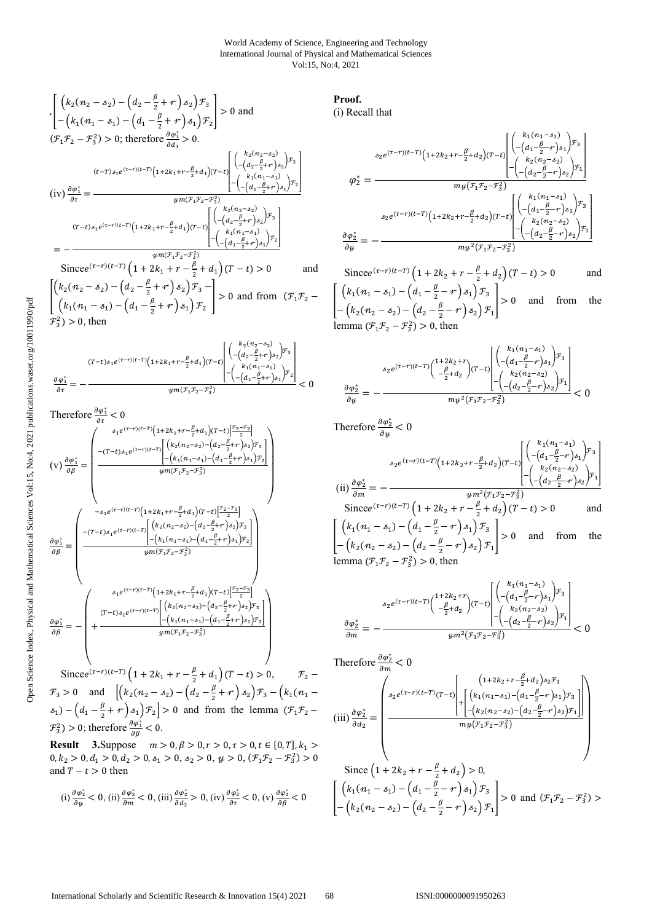$$
\begin{aligned}\n&\left[\left(k_{2}(n_{2}-s_{2})-\left(d_{2}-\frac{\beta}{2}+r\right)s_{2}\right)\mathcal{F}_{3}\right] > 0 \text{ and} \\
&\left[-\left(k_{1}(n_{1}-s_{1})-\left(d_{1}-\frac{\beta}{2}+r\right)s_{1}\right)\mathcal{F}_{2}\right] > 0 \text{ and} \\
&(\mathcal{F}_{1}\mathcal{F}_{2}-\mathcal{F}_{3}^{2}) > 0; \text{ therefore } \frac{\partial\varphi_{1}^{*}}{\partial a_{1}} > 0. \\
&\qquad (t-T)s_{1}e^{(\tau-r)(t-T)}\left(1+2k_{1}+r-\frac{\beta}{2}+d_{1}\right)(T-t)\left[\left(\frac{k_{2}(n_{2}-s_{2})}{-(d_{2}-\frac{\beta}{2}+r\right)s_{2}\right)\mathcal{F}_{3}\right] \\
&\qquad\qquad \left.\left(\text{iv}\right)\frac{\partial\varphi_{1}^{*}}{\partial\tau} = \frac{\varphi_{1}^{*}\left(\mathcal{F}_{1}^{*}+\mathcal{F}_{2}^{*}+d_{1}\right)\left(\mathcal{F}_{1}^{*}+\mathcal{F}_{2}^{*}+\mathcal{F}_{3}\right)}{\varphi_{1}^{*}(\mathcal{F}_{1}\mathcal{F}_{2}-\mathcal{F}_{3}^{2})} \\
&\qquad\qquad \left.\left(\text{iv}\right)\frac{\partial\varphi_{1}^{*}}{\partial\tau} = -\frac{\varphi_{1}^{*}\left(\mathcal{F}_{2}^{*}\left(n_{2}-s_{2}\right)\right)\left(\mathcal{F}_{1}^{*}+\left(\frac{\beta}{2}+r\right)s_{2}\right)\mathcal{F}_{3}}{\left(\mathcal{F}_{1}^{*}\left(n_{2}-s_{2}\right)\right)}\right)} \\
&= -\frac{\varphi_{1}^{*}\left(\mathcal{F}_{1}\mathcal{F}_{2}-\mathcal{F}_{3}^{2}\right)}{\varphi_{1}^{*}\left(\mathcal{F}_{1}\mathcal{F}_{2}-\mathcal{F}_{3}^{2}\right)} \\
&\text{Since } e^{(\tau-r)(t-T)}\left(1+2k_{1}+r-\frac{\beta}{2}+d_{1}\right)(T-t) > 0\n\end{aligned}
$$

$$
\begin{bmatrix}\n\left(k_2(n_2 - s_2) - \left(d_2 - \frac{\beta}{2} + r\right)s_2\right) \mathcal{F}_3 \\
\left(k_1(n_1 - s_1) - \left(d_1 - \frac{\beta}{2} + r\right)s_1\right) \mathcal{F}_2\n\end{bmatrix} > 0 \text{ and from } (\mathcal{F}_1 \mathcal{F}_2 - \mathcal{F}_3^2) > 0, \text{ then}
$$

$$
\frac{\partial \varphi_1^*}{\partial \tau} = -\frac{(T-t)s_1 e^{(\tau-\tau)(t-T)} \left(1+2k_1+r-\frac{\beta}{2}+d_1\right) (T-t)}{\frac{\partial \varphi_1^*}{\partial \tau} = -\frac{\partial \varphi_1^*}{\partial \tau} = -\frac{\partial \varphi_1^*}{\partial \tau} \left[\frac{k_1(n_1-s_1)}{-(d_1-\frac{\beta}{2}+r)}s_1\right) \mathcal{F}_2}{\mathcal{H}^m(\mathcal{F}_1\mathcal{F}_2-\mathcal{F}_3^2)} < 0
$$

Therefore 
$$
\frac{\partial \varphi_1^*}{\partial \tau} < 0
$$
  
\n
$$
(v) \frac{\partial \varphi_1^*}{\partial \beta} = \begin{pmatrix} s_1 e^{(\tau - r)(t - T)} \left( 1 + 2k_1 + r - \frac{\beta}{2} + d_1 \right) (T - t) \left[ \frac{r_3 - r_2}{2} \right] \\ -(T - t) s_1 e^{(\tau - r)(t - T)} \left[ \left( k_2 (n_2 - s_2) - \left( d_2 - \frac{\beta}{2} + r \right) s_1 \right) r_2 \right] \\ -(k_1 (n_1 - s_1) - \left( d_1 - \frac{\beta}{2} + r \right) s_1 \right) r_2 \end{pmatrix}
$$
\n
$$
\frac{\partial \varphi_1^*}{\partial \beta} = \begin{pmatrix} -s_1 e^{(\tau - r)(t - T)} \left( 1 + 2k_1 + r - \frac{\beta}{2} + d_1 \right) (T - t) \left[ \frac{r_2 - r_3}{2} \right] \\ -(T - t) s_1 e^{(\tau - r)(t - T)} \left( 1 + 2k_1 + r - \frac{\beta}{2} + d_1 \right) (T - t) \left[ \frac{r_2 - r_3}{2} \right] \\ -(k_1 (n_1 - s_1) - \left( d_1 - \frac{\beta}{2} + r \right) s_1 \right) r_2 \end{pmatrix}
$$
\n
$$
\frac{\partial \varphi_1^*}{\partial \beta} = - \begin{pmatrix} s_1 e^{(\tau - r)(t - T)} \left( 1 + 2k_1 + r - \frac{\beta}{2} + d_1 \right) (T - t) \left[ \frac{r_2 - r_3}{2} \right] \\ (T - t) s_1 e^{(\tau - r)(t - T)} \left[ \left( k_2 (n_2 - s_2) - \left( d_2 - \frac{\beta}{2} + r \right) s_1 \right) r_2 \right] \\ -(k_1 (n_1 - s_1) - \left( d_1 - \frac{\beta}{2} + r \right) s_1 \right) r_2 \end{pmatrix}
$$
\n
$$
\frac{\partial \varphi_1^*}{\partial \beta} = - \begin{pmatrix} s_1 e^{(\tau - r)(t - T)} \left[ \left( k_2 (n_1 - s_1) - \left( d_1 - \frac{\beta}{2} +
$$

Since  $e^{(\tau - r)(t-T)} \left(1 + 2k_1 + r - \frac{\beta}{2} + d_1\right) (T - t) > 0, \qquad \mathcal{F}_2$  $\mathcal{F}_3 > 0$  and  $\left[ \left( k_2(n_2 - s_2) - \left( d_2 - \frac{\beta}{2} + r \right) s_2 \right) \mathcal{F}_3 - \left( k_1(n_1 - \frac{\beta}{2} + r) s_2 \right) \mathcal{F}_4 \right]$  $s_1 - (d_1 - \frac{\beta}{2} + r) s_1 \mathcal{F}_2 > 0$  and from the lemma  $(\mathcal{F}_1 \mathcal{F}_2$  $\mathcal{F}_3^2$ ) > 0; therefore  $\frac{\partial \varphi_1^*}{\partial \beta}$  < 0.

**Result** 3.Suppose  $m > 0, \beta > 0, r > 0, \tau > 0, t \in [0, T], k_1 >$  $0, k_2 > 0, d_1 > 0, d_2 > 0, s_1 > 0, s_2 > 0, \psi > 0, (\mathcal{F}_1 \mathcal{F}_2 - \mathcal{F}_3^2) > 0$ and  $T - t > 0$  then

(i) 
$$
\frac{\partial \varphi_2^*}{\partial y} < 0
$$
, (ii)  $\frac{\partial \varphi_2^*}{\partial m} < 0$ , (iii)  $\frac{\partial \varphi_2^*}{\partial d_2} > 0$ , (iv)  $\frac{\partial \varphi_2^*}{\partial \tau} < 0$ , (v)  $\frac{\partial \varphi_2^*}{\partial \beta} < 0$ 

# **Proof.**

(i) Recall that

$$
\varphi_{2}^{*} = \frac{\sum_{s_{2}e^{(\tau-\tau)(t-T)}} \left(1+2k_{2}+r-\frac{\beta}{2}+d_{2}\right)(T-t)} \left[\frac{\left(\begin{matrix}k_{1}(n_{1}-s_{1})\\-\left(d_{1}-\frac{\beta}{2}-r\right)s_{1}\end{matrix}\right)\mathcal{F}_{3}}{\left(k_{2}(n_{2}-s_{2})\right)}\right] \cdot \left(\begin{matrix}k_{2}(n_{2}-s_{2})\\-\left(d_{2}-\frac{\beta}{2}-r\right)s_{2}\end{matrix}\right)^{T_{3}}}{m\psi\left(\mathcal{F}_{1}\mathcal{F}_{2}-\mathcal{F}_{3}^{2}\right)}\right]}{\frac{m\psi\left(\mathcal{F}_{1}\mathcal{F}_{2}-\mathcal{F}_{3}^{2}\right)}\left[\begin{matrix}\left(\begin{matrix}k_{1}(n_{1}-s_{1})\\-\left(d-\frac{\beta}{2}-r\right)s_{1}\end{matrix}\right)\mathcal{F}_{3}\right]}{\left(\begin{matrix}k_{1}(n_{1}-s_{1})\\-\left(d-\frac{\beta}{2}-r\right)s_{2}\end{matrix}\right)^{T_{3}}\right]} - \left(\begin{matrix}k_{2}(n_{2}-s_{2})\\-\left(d-\frac{\beta}{2}-r\right)s_{2}\end{matrix}\right)^{T_{1}}\right]}
$$
\n
$$
\frac{\partial\varphi_{2}^{*}}{\partial\psi} = -\frac{m\psi^{2}(\mathcal{F}_{1}\mathcal{F}_{2}-\mathcal{F}_{3}^{2})}{m\psi^{2}(\mathcal{F}_{1}\mathcal{F}_{2}-\mathcal{F}_{3}^{2})}
$$

Since  $e^{(\tau - r)(t - T)} \left( 1 + 2k_2 + r - \frac{\beta}{2} + d_2 \right) (T - t) > 0$  and  $\left[ \begin{array}{c} \left( k_1(n_1-s_1) - \left( d_1 - \frac{\beta}{2} - r \right) s_1 \right) \mathcal{F}_3 \end{array} \right]$  $-\left(k_2(n_2-s_2)-\left(d_2-\frac{\beta}{2}-r\right)s_2\right)\mathcal{F}_1$  $|>0$  and from the lemma  $(\mathcal{F}_1 \mathcal{F}_2 - \mathcal{F}_3^2) > 0$ , then

$$
\frac{s_2 e^{(\tau-r)(t-T)} \left( \begin{matrix} 1+2k_2+r \\ -\frac{\beta}{2}+d_2 \end{matrix} \right) (T-t)}{ \frac{\beta}{2} \left( - \left(d_1 - \frac{\beta}{2}-r \right) s_1 \right) \mathcal{F}_3}{\left( - \left(d_2 - \frac{\beta}{2}-r \right) s_2 \right) \mathcal{F}_1} \right) } < 0
$$

Therefore  $\frac{\partial \varphi_2^*}{\partial y} < 0$ (ii)  $\frac{\partial \varphi_2^*}{\partial m} =$  $s_2 e^{(\tau - r)(t-T)} \left(1 + 2k_2 + r - \frac{\beta}{2} + d_2\right) (T - t)$  $\begin{bmatrix} k_1(n_1-s_1) \\ -\left(d_1-\frac{\beta}{2}-r\right) \\ k_2(n_2-s_2) \\ -\left(-\left(d_2-\frac{\beta}{2}-r\right)\right) \end{bmatrix}$  $-\left(d_1-\frac{\beta}{2}-r\right)s_1\right)^{1/2}$  $\begin{pmatrix} k_2(n_2-s_2) \\ \beta \end{pmatrix}$  $-\left(d_2-\frac{\beta}{2}-r\right)s_2\right)$ <sup>F</sup>1 ⎦  $\cdot$ ⎥  $\overline{\phantom{a}}$ ⎥ ⎤  $ym^2(F_1F_2-F_3^2)$ Since  $e^{(\tau - r)(t - T)} \left( 1 + 2k_2 + r - \frac{\beta}{2} + d_2 \right) (T - t) > 0$  and  $\left[ \begin{array}{c} \left( k_1(n_1-s_1) - \left( d_1 - \frac{\beta}{2} - r \right) s_1 \right) \mathcal{F}_3 \end{array} \right]$  $-\left(k_2(n_2-s_2)-\left(d_2-\frac{\beta}{2}-r\right)s_2\right)\mathcal{F}_1$  $|>0$  and from the lemma  $(\mathcal{F}_1 \mathcal{F}_2 - \mathcal{F}_3^2) > 0$ , then

$$
\frac{s_2 e^{(\tau-r)(t-T)} \left( \begin{matrix} 1+2k_2+r \\ -(d_1-\frac{\beta}{2}-r) s_1 \end{matrix} \right)^{T_3}}{ \frac{\partial \varphi_2^*}{\partial m}} = -\frac{\frac{s_2 e^{(\tau-r)(t-T)} \left( \begin{matrix} 1+2k_2+r \\ -(d_1-\frac{\beta}{2}-r) s_1 \end{matrix} \right)^{T_3}}{ \psi m^2 (r_1 r_2-r_3^2)} \right)}{ \psi m^2 (r_1 r_2-r_3^2)} < 0
$$

Therefore 
$$
\frac{\partial \varphi_2^*}{\partial m} < 0
$$
  
\n
$$
\left\{ \begin{array}{l} \sum_{s_2 e^{(\tau - r)(t - T)} (T - t)} \left[ \binom{(1 + 2k_2 + r - \frac{\beta}{2} + d_2) s_2 \mathcal{F}_1}{\left[ \binom{k_1 (n_1 - s_1) - (d_1 - \frac{\beta}{2} - r) s_1 \right) \mathcal{F}_3}{\partial d_2} \right]} \right\}
$$
\n(iii)  $\frac{\partial \varphi_2^*}{\partial d_2} = \left\{ \begin{array}{l} \sum_{s_2 e^{(\tau - r)(t - T)} (T - t)} \left[ \binom{(k_1 (n_1 - s_1) - (d_1 - \frac{\beta}{2} - r) s_1) \mathcal{F}_3}{\sqrt{(\binom{k_1}{2} - \binom{r}{2} - \binom{r}{2} - r^2)}} \right] \end{array} \right\}$ \nSince  $(1 + 2k_2 + r - \frac{\beta}{2} + d_2) > 0$ ,  
\n
$$
\left[ \binom{k_1 (n_1 - s_1) - (d_1 - \frac{\beta}{2} - r) s_1 \mathcal{F}_3}{\sqrt{(\binom{k_1}{2} - \binom{r}{2} - \binom{r}{2} - r^2)}} \right] > 0 \text{ and } (\mathcal{F}_1 \mathcal{F}_2 - \mathcal{F}_3^2) > 0
$$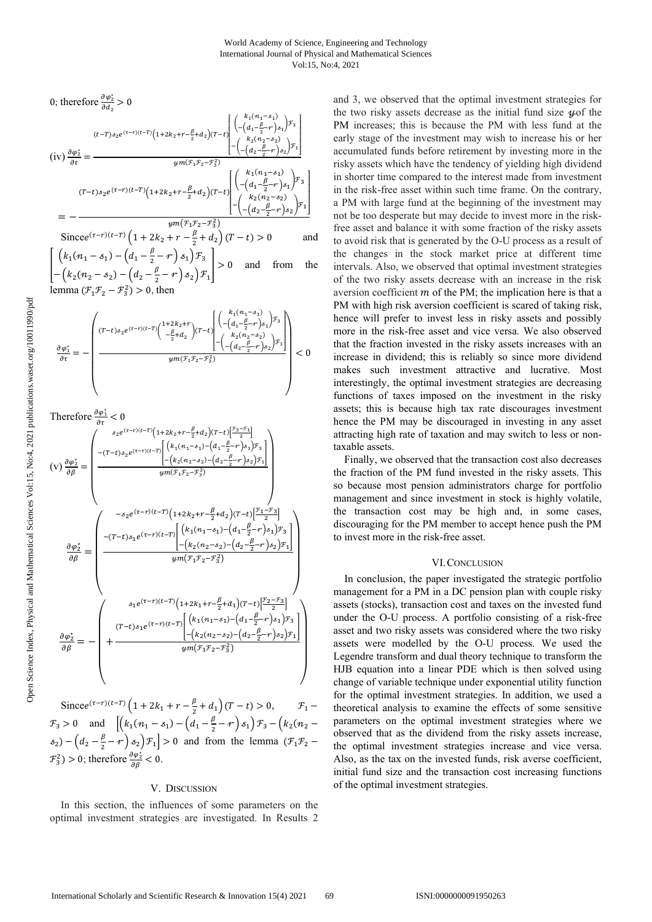0; therefore 
$$
\frac{\partial \varphi_2^*}{\partial d_2} > 0
$$
  
\n
$$
(t-T)s_2 e^{(\tau-r)(t-T)} \left(1+2k_2 + r - \frac{\beta}{2} + d_2\right) (T-t) \begin{bmatrix} k_1(n_1 - s_1) \\ -(d_1 - \frac{\beta}{2} - r) s_1 \end{bmatrix} x_3
$$
\n
$$
(iv)  $\frac{\partial \varphi_2^*}{\partial \tau} = \frac{\varphi_2(\tau-r)(t-T)}{\varphi_2(\tau-r)} \left(1+2k_2 + r - \frac{\beta}{2} + d_2\right) (T-t) \begin{bmatrix} k_2(n_2 - s_2) \\ -(d_2 - \frac{\beta}{2} - r) s_2 \end{bmatrix} x_1$ \n
$$
(T-t)s_2 e^{(\tau-r)(t-T)} \left(1+2k_2 + r - \frac{\beta}{2} + d_2\right) (T-t) \begin{bmatrix} k_1(n_1 - s_1) \\ -(d_1 - \frac{\beta}{2} - r) s_1 \end{bmatrix} x_3
$$
\n
$$
= -\frac{\varphi_2(m_1 - s_2)}{\varphi_2(m_1 - s_2)} \left[ \frac{\left(k_1(n_1 - s_1) - k_1 \right) \left(1 + 2k_2 + r - \frac{\beta}{2} + d_2\right) (T-t) - 0}{\varphi_2(m_1 - s_2)} \right] x_1
$$
\n
$$
= -\frac{\varphi_2(m_1 - s_1)}{\varphi_2(m_1 - s_1)} \left[ \frac{\left(k_1(n_1 - s_1) - k_1 \right) \left(1 + 2k_2 + r - \frac{\beta}{2} + d_2\right) (T-t) - 0}{\varphi_2(m_1 - s_1)} \right]
$$
\n
$$
= -\frac{\varphi_2(m_1 - s_1)}{\varphi_2(m_1 - s_1)} \left[ \frac{\left(k_1(n_1 - s_1) - k_1 \right) \left(1 + 2k_2 + r - \frac{\beta}{2} + d_2\right) (T-t) - 0}{\varphi_2(m_1 - s_1)} \right]
$$
\n
$$
= -\frac{\varphi_2(m_1 - s_1)}{\varphi_2(m_1 - s_1)} \left[ \frac{\left(1 + 2k_1 + 2k_
$$
$$

 $\left[ \left( k_1(n_1-s_1) - \left( d_1 - \frac{\beta}{2} - r \right) s_1 \right) \mathcal{F}_3 \right]$  $-\left(k_2(n_2-s_2)-\left(d_2-\frac{\beta}{2}-r\right)s_2\right)\mathcal{F}_1$  $\vert > 0$  and from the lemma  $(\mathcal{F}_1 \mathcal{F}_2 - \mathcal{F}_3^2) > 0$ , then

$$
\frac{\partial \varphi_1^*}{\partial \tau} = - \left( \frac{(T-t)s_2 e^{(\tau-\tau)(t-T)} \left( \frac{1+2k_2 + r}{-\frac{\beta}{2}+d_2} \right) (T-t) \left[ \frac{\left( \binom{k_1(n_1-s_1)}{-\left(d_1-\frac{\beta}{2}-r\right)s_1} \right) \mathcal{F}_3}{\left( \binom{k_2(n_2-s_2)}{-\left(d_2-\frac{\beta}{2}-r\right)s_2} \right) \mathcal{F}_1} \right]}{\psi m(\mathcal{F}_1 \mathcal{F}_2 - \mathcal{F}_3^2} \right) < 0
$$

Therefore 
$$
\frac{\partial \varphi_1^*}{\partial \tau} < 0
$$
  
\n
$$
(v) \frac{\partial \varphi_2^*}{\partial \beta} = \begin{pmatrix}\ns_2 e^{(\tau - r)(t - T)} (1 + 2k_2 + r - \frac{\beta}{2} + d_2)(T - t) \frac{r_3 - r_1}{2}\n\end{pmatrix}
$$
\n
$$
(v) \frac{\partial \varphi_2^*}{\partial \beta} = \begin{pmatrix}\n-(T - t)s_2 e^{(\tau - r)(t - T)} \left[ (k_1(n_1 - s_1) - (d_1 - \frac{\beta}{2} - r)s_1) r_3 \right] \\
-(k_2(n_2 - s_2) - (d_2 - \frac{\beta}{2} - r)s_2 \right] r_1 \\
\downarrow \\
\downarrow \\
\downarrow \\
\downarrow \\
\frac{\partial \varphi_2^*}{\partial \beta} = \begin{pmatrix}\n- s_2 e^{(\tau - r)(t - T)} \left( 1 + 2k_2 + r - \frac{\beta}{2} + d_2 \right) (T - t) \left[ \frac{r_1 - r_3}{2} \right] \\
-(T - t)s_1 e^{(\tau - r)(t - T)} \left[ (k_1(n_1 - s_1) - (d_1 - \frac{\beta}{2} - r)s_1) r_3 \right] \\
-(k_2(n_2 - s_2) - (d_2 - \frac{\beta}{2} - r)s_2 \right) r_1 \end{pmatrix}
$$
\n
$$
\frac{\partial \varphi_2^*}{\partial \beta} = - \begin{pmatrix}\ns_1 e^{(\tau - r)(t - T)} \left( 1 + 2k_1 + r - \frac{\beta}{2} + d_1 \right) (T - t) \left[ \frac{r_2 - r_3}{2} \right] \\
-(k_1(n_1 - s_1) - (d_1 - \frac{\beta}{2} - r)s_1) r_3 \\
-(k_2(n_2 - s_2) - (d_2 - \frac{\beta}{2} - r)s_2) r_1 \end{pmatrix}
$$
\n
$$
\frac{\partial \varphi_2^*}{\partial \beta} = - \begin{pmatrix}\ns_1 e^{(\tau - r)(t - T)} \left[ (k_1(n_1 - s_1) - (d_1 - \frac{\beta}{2} - r)s_1) r_3 \right] \\
-(k_2(n_2 - s_2) - (d_2 - \frac{\beta}{2} - r)s_2) r_1 \right] \\
$$

Since  $(e^{(\tau - r)(t-T)} \left(1 + 2k_1 + r - \frac{\beta}{2} + d_1\right)(T - t) > 0, \qquad \mathcal{F}_1$  $F_3 > 0$  and  $[(k_1(n_1 - s_1) - (d_1 - \frac{\beta}{2} - r) s_1) \mathcal{F}_3 - (k_2(n_2$  $s_2$ ) –  $(a_2 - \frac{\beta}{2} - r) s_2$ )  $\mathcal{F}_1$ ] > 0 and from the lemma ( $\mathcal{F}_1 \mathcal{F}_2$  –  $\mathcal{F}_3^2$ ) > 0; therefore  $\frac{\partial \varphi_2^*}{\partial \beta}$  < 0.

## V. DISCUSSION

In this section, the influences of some parameters on the optimal investment strategies are investigated. In Results 2 and 3, we observed that the optimal investment strategies for the two risky assets decrease as the initial fund size  $y$  of the PM increases; this is because the PM with less fund at the early stage of the investment may wish to increase his or her accumulated funds before retirement by investing more in the risky assets which have the tendency of yielding high dividend in shorter time compared to the interest made from investment in the risk-free asset within such time frame. On the contrary, a PM with large fund at the beginning of the investment may not be too desperate but may decide to invest more in the riskfree asset and balance it with some fraction of the risky assets to avoid risk that is generated by the O-U process as a result of the changes in the stock market price at different time intervals. Also, we observed that optimal investment strategies of the two risky assets decrease with an increase in the risk aversion coefficient  $m$  of the PM; the implication here is that a PM with high risk aversion coefficient is scared of taking risk, hence will prefer to invest less in risky assets and possibly more in the risk-free asset and vice versa. We also observed that the fraction invested in the risky assets increases with an increase in dividend; this is reliably so since more dividend makes such investment attractive and lucrative. Most interestingly, the optimal investment strategies are decreasing functions of taxes imposed on the investment in the risky assets; this is because high tax rate discourages investment hence the PM may be discouraged in investing in any asset attracting high rate of taxation and may switch to less or nontaxable assets.

Finally, we observed that the transaction cost also decreases the fraction of the PM fund invested in the risky assets. This so because most pension administrators charge for portfolio management and since investment in stock is highly volatile, the transaction cost may be high and, in some cases, discouraging for the PM member to accept hence push the PM to invest more in the risk-free asset.

## VI.CONCLUSION

In conclusion, the paper investigated the strategic portfolio management for a PM in a DC pension plan with couple risky assets (stocks), transaction cost and taxes on the invested fund under the O-U process. A portfolio consisting of a risk-free asset and two risky assets was considered where the two risky assets were modelled by the O-U process. We used the Legendre transform and dual theory technique to transform the HJB equation into a linear PDE which is then solved using change of variable technique under exponential utility function for the optimal investment strategies. In addition, we used a theoretical analysis to examine the effects of some sensitive parameters on the optimal investment strategies where we observed that as the dividend from the risky assets increase, the optimal investment strategies increase and vice versa. Also, as the tax on the invested funds, risk averse coefficient, initial fund size and the transaction cost increasing functions of the optimal investment strategies.